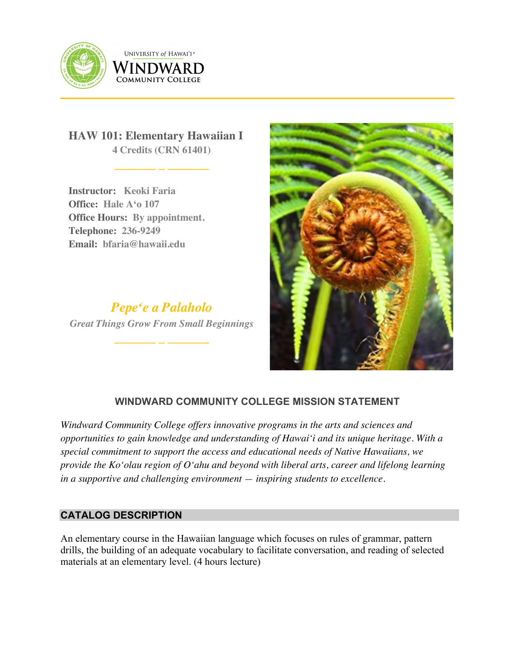

UNIVERSITY of HAWAI'I® WINDWARD **COMMUNITY COLLEGE** 

**HAW 101: Elementary Hawaiian I 4 Credits (CRN 61401)**

**\_\_\_\_\_\_\_ \_ \_\_\_\_\_\_\_**

**Instructor: Keoki Faria Office: Hale Aʻo 107 Office Hours: By appointment. Telephone: 236-9249 Email: bfaria@hawaii.edu**

*Pepeʻe a Palaholo Great Things Grow From Small Beginnings* **\_\_\_\_\_\_\_ \_ \_\_\_\_\_\_\_**



# **WINDWARD COMMUNITY COLLEGE MISSION STATEMENT**

*Windward Community College offers innovative programs in the arts and sciences and opportunities to gain knowledge and understanding of Hawai'i and its unique heritage. With a special commitment to support the access and educational needs of Native Hawaiians, we provide the Ko'olau region of Oʻahu and beyond with liberal arts, career and lifelong learning in a supportive and challenging environment — inspiring students to excellence.*

# **CATALOG DESCRIPTION**

An elementary course in the Hawaiian language which focuses on rules of grammar, pattern drills, the building of an adequate vocabulary to facilitate conversation, and reading of selected materials at an elementary level. (4 hours lecture)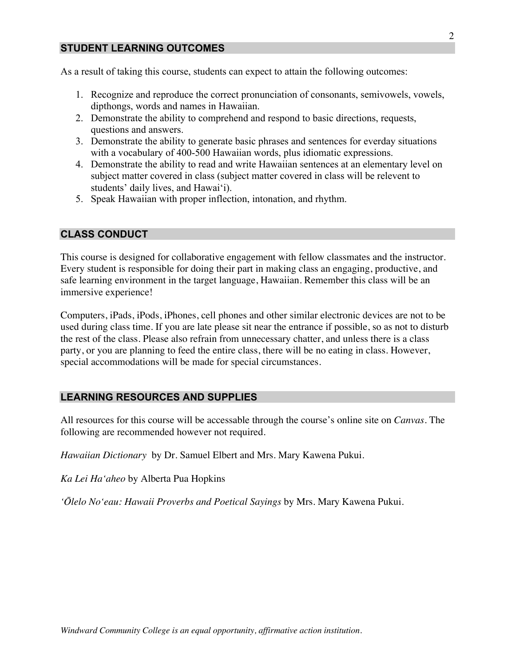## **STUDENT LEARNING OUTCOMES**

As a result of taking this course, students can expect to attain the following outcomes:

- 1. Recognize and reproduce the correct pronunciation of consonants, semivowels, vowels, dipthongs, words and names in Hawaiian.
- 2. Demonstrate the ability to comprehend and respond to basic directions, requests, questions and answers.
- 3. Demonstrate the ability to generate basic phrases and sentences for everday situations with a vocabulary of 400-500 Hawaiian words, plus idiomatic expressions.
- 4. Demonstrate the ability to read and write Hawaiian sentences at an elementary level on subject matter covered in class (subject matter covered in class will be relevent to students' daily lives, and Hawaiʻi).
- 5. Speak Hawaiian with proper inflection, intonation, and rhythm.

#### **CLASS CONDUCT**

This course is designed for collaborative engagement with fellow classmates and the instructor. Every student is responsible for doing their part in making class an engaging, productive, and safe learning environment in the target language, Hawaiian. Remember this class will be an immersive experience!

Computers, iPads, iPods, iPhones, cell phones and other similar electronic devices are not to be used during class time. If you are late please sit near the entrance if possible, so as not to disturb the rest of the class. Please also refrain from unnecessary chatter, and unless there is a class party, or you are planning to feed the entire class, there will be no eating in class. However, special accommodations will be made for special circumstances.

### **LEARNING RESOURCES AND SUPPLIES**

All resources for this course will be accessable through the course's online site on *Canvas*. The following are recommended however not required.

*Hawaiian Dictionary* by Dr. Samuel Elbert and Mrs. Mary Kawena Pukui.

*Ka Lei Haʻaheo* by Alberta Pua Hopkins

*ʻŌlelo Noʻeau: Hawaii Proverbs and Poetical Sayings* by Mrs. Mary Kawena Pukui.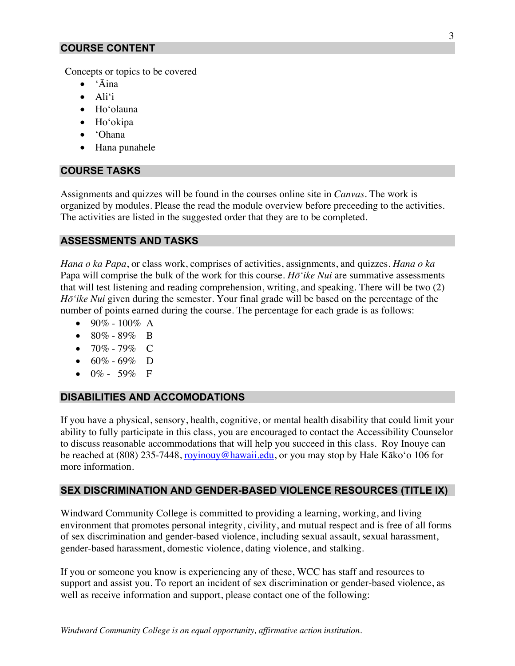### **COURSE CONTENT**

Concepts or topics to be covered

- ʻĀina
- Aliʻi
- Hoʻolauna
- Hoʻokipa
- ʻOhana
- Hana punahele

### **COURSE TASKS**

Assignments and quizzes will be found in the courses online site in *Canvas*. The work is organized by modules. Please the read the module overview before preceeding to the activities. The activities are listed in the suggested order that they are to be completed.

#### **ASSESSMENTS AND TASKS**

*Hana o ka Papa*, or class work, comprises of activities, assignments, and quizzes. *Hana o ka*  Papa will comprise the bulk of the work for this course. *Hōʻike Nui* are summative assessments that will test listening and reading comprehension, writing, and speaking. There will be two (2) *Hōʻike Nui* given during the semester. Your final grade will be based on the percentage of the number of points earned during the course. The percentage for each grade is as follows:

- 90% 100% A
- 80% 89% B
- 70% 79% C
- 60% 69% D
- $0\%$  59% F

#### **DISABILITIES AND ACCOMODATIONS**

If you have a physical, sensory, health, cognitive, or mental health disability that could limit your ability to fully participate in this class, you are encouraged to contact the Accessibility Counselor to discuss reasonable accommodations that will help you succeed in this class. Roy Inouye can be reached at (808) 235-7448, royinouy@hawaii.edu, or you may stop by Hale Kāko'o 106 for more information.

### **SEX DISCRIMINATION AND GENDER-BASED VIOLENCE RESOURCES (TITLE IX)**

Windward Community College is committed to providing a learning, working, and living environment that promotes personal integrity, civility, and mutual respect and is free of all forms of sex discrimination and gender-based violence, including sexual assault, sexual harassment, gender-based harassment, domestic violence, dating violence, and stalking.

If you or someone you know is experiencing any of these, WCC has staff and resources to support and assist you. To report an incident of sex discrimination or gender-based violence, as well as receive information and support, please contact one of the following: